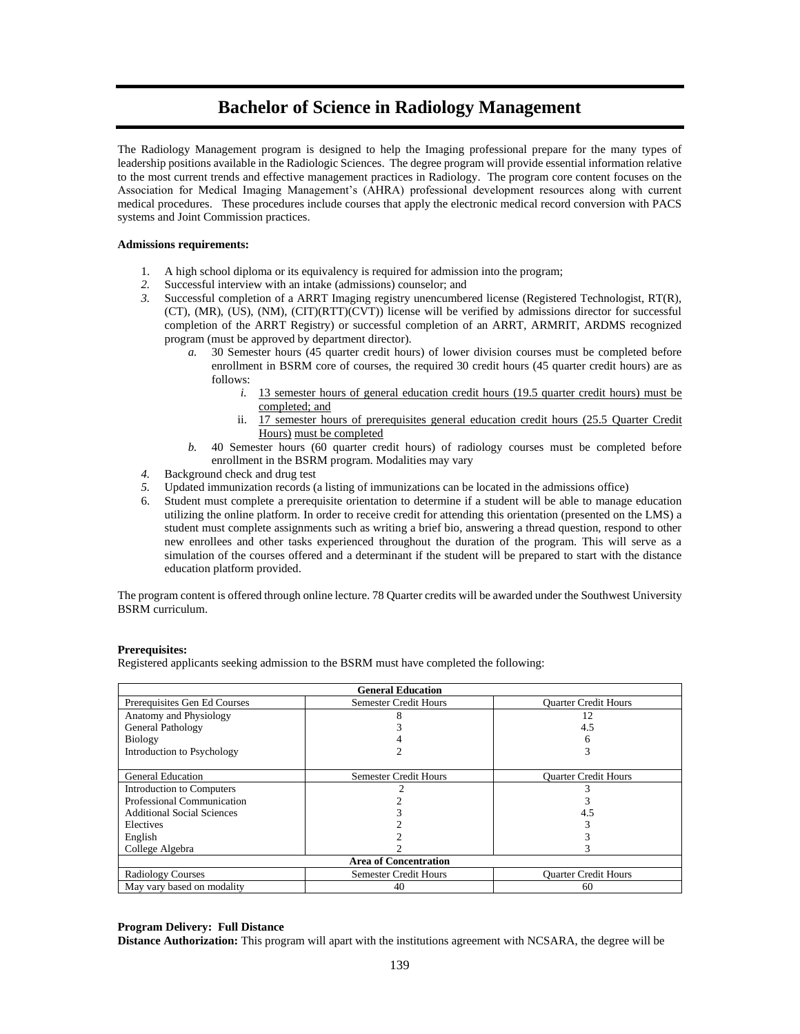# **Bachelor of Science in Radiology Management**

The Radiology Management program is designed to help the Imaging professional prepare for the many types of leadership positions available in the Radiologic Sciences. The degree program will provide essential information relative to the most current trends and effective management practices in Radiology. The program core content focuses on the Association for Medical Imaging Management's (AHRA) professional development resources along with current medical procedures. These procedures include courses that apply the electronic medical record conversion with PACS systems and Joint Commission practices.

### **Admissions requirements:**

- 1. A high school diploma or its equivalency is required for admission into the program;
- *2.* Successful interview with an intake (admissions) counselor; and
- *3.* Successful completion of a ARRT Imaging registry unencumbered license (Registered Technologist, RT(R), (CT), (MR), (US), (NM), (CIT)(RTT)(CVT)) license will be verified by admissions director for successful completion of the ARRT Registry) or successful completion of an ARRT, ARMRIT, ARDMS recognized program (must be approved by department director).
	- *a.* 30 Semester hours (45 quarter credit hours) of lower division courses must be completed before enrollment in BSRM core of courses, the required 30 credit hours (45 quarter credit hours) are as follows:
		- *i.* 13 semester hours of general education credit hours (19.5 quarter credit hours) must be completed; and
		- ii. 17 semester hours of prerequisites general education credit hours (25.5 Quarter Credit Hours) must be completed
	- *b.* 40 Semester hours (60 quarter credit hours) of radiology courses must be completed before enrollment in the BSRM program. Modalities may vary
- *4.* Background check and drug test
- *5.* Updated immunization records (a listing of immunizations can be located in the admissions office)
- 6. Student must complete a prerequisite orientation to determine if a student will be able to manage education utilizing the online platform. In order to receive credit for attending this orientation (presented on the LMS) a student must complete assignments such as writing a brief bio, answering a thread question, respond to other new enrollees and other tasks experienced throughout the duration of the program. This will serve as a simulation of the courses offered and a determinant if the student will be prepared to start with the distance education platform provided.

The program content is offered through online lecture. 78 Quarter credits will be awarded under the Southwest University BSRM curriculum.

#### **Prerequisites:**

Registered applicants seeking admission to the BSRM must have completed the following:

| <b>General Education</b>          |                              |                             |  |
|-----------------------------------|------------------------------|-----------------------------|--|
| Prerequisites Gen Ed Courses      | <b>Semester Credit Hours</b> | <b>Ouarter Credit Hours</b> |  |
| Anatomy and Physiology            |                              | 12                          |  |
| <b>General Pathology</b>          |                              | 4.5                         |  |
| <b>Biology</b>                    |                              | 6                           |  |
| Introduction to Psychology        |                              |                             |  |
|                                   |                              |                             |  |
| <b>General Education</b>          | <b>Semester Credit Hours</b> | <b>Ouarter Credit Hours</b> |  |
| Introduction to Computers         |                              |                             |  |
| Professional Communication        |                              |                             |  |
| <b>Additional Social Sciences</b> |                              | 4.5                         |  |
| Electives                         |                              |                             |  |
| English                           |                              |                             |  |
| College Algebra                   |                              |                             |  |
| <b>Area of Concentration</b>      |                              |                             |  |
| <b>Radiology Courses</b>          | <b>Semester Credit Hours</b> | <b>Ouarter Credit Hours</b> |  |
| May vary based on modality        | 40                           | 60                          |  |

### **Program Delivery: Full Distance**

**Distance Authorization:** This program will apart with the institutions agreement with NCSARA, the degree will be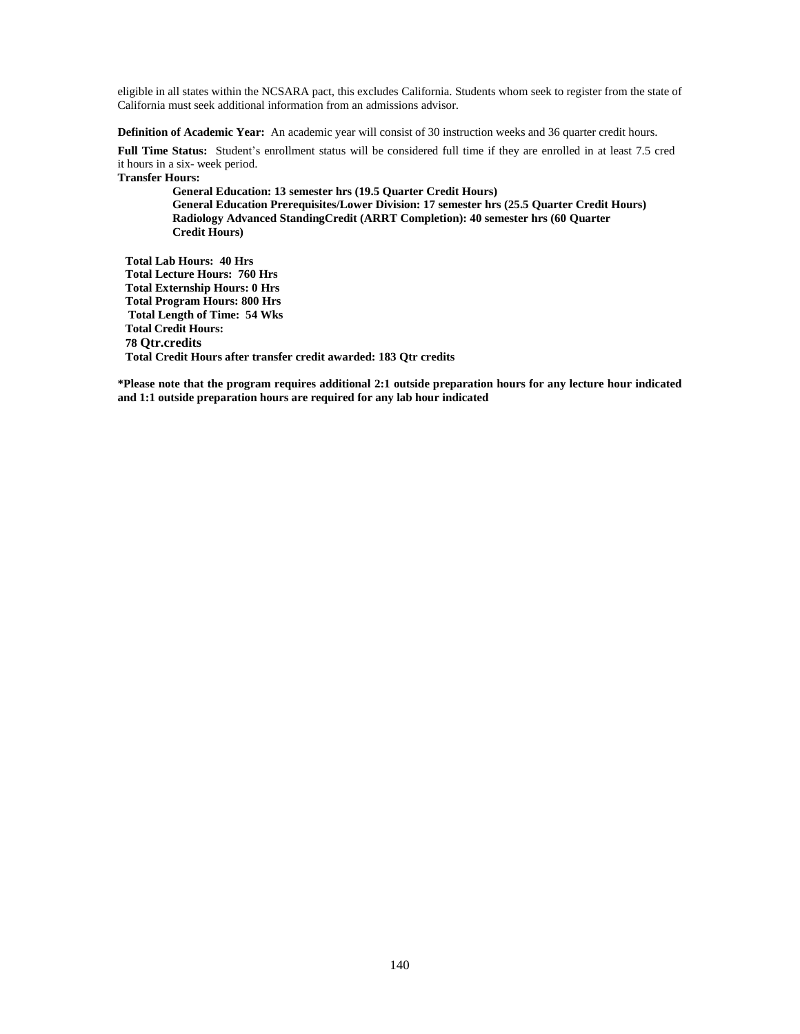eligible in all states within the NCSARA pact, this excludes California. Students whom seek to register from the state of California must seek additional information from an admissions advisor.

**Definition of Academic Year:** An academic year will consist of 30 instruction weeks and 36 quarter credit hours.

**Full Time Status:** Student's enrollment status will be considered full time if they are enrolled in at least 7.5 cred it hours in a six- week period. **Transfer Hours:**

**General Education: 13 semester hrs (19.5 Quarter Credit Hours) General Education Prerequisites/Lower Division: 17 semester hrs (25.5 Quarter Credit Hours) Radiology Advanced StandingCredit (ARRT Completion): 40 semester hrs (60 Quarter Credit Hours)**

**Total Lab Hours: 40 Hrs Total Lecture Hours: 760 Hrs Total Externship Hours: 0 Hrs Total Program Hours: 800 Hrs Total Length of Time: 54 Wks Total Credit Hours: 78 Qtr.credits Total Credit Hours after transfer credit awarded: 183 Qtr credits** 

**\*Please note that the program requires additional 2:1 outside preparation hours for any lecture hour indicated and 1:1 outside preparation hours are required for any lab hour indicated**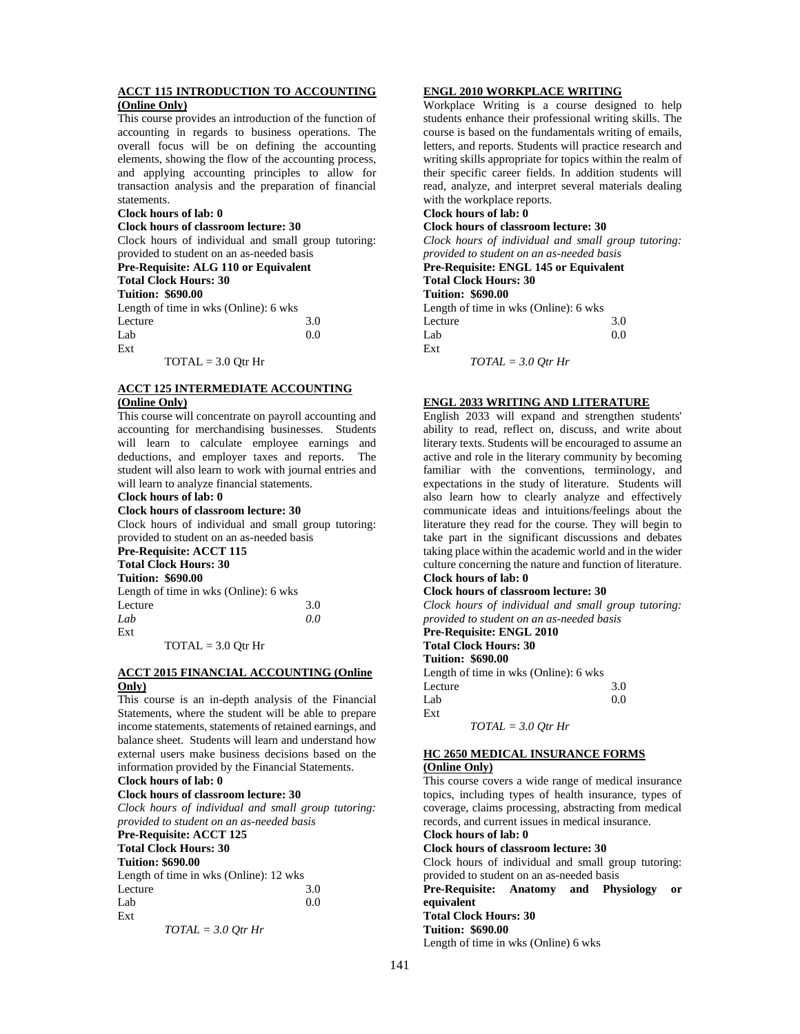### **ACCT 115 INTRODUCTION TO ACCOUNTING (Online Only)**

This course provides an introduction of the function of accounting in regards to business operations. The overall focus will be on defining the accounting elements, showing the flow of the accounting process, and applying accounting principles to allow for transaction analysis and the preparation of financial statements.

#### **Clock hours of lab: 0**

**Clock hours of classroom lecture: 30**

Clock hours of individual and small group tutoring: provided to student on an as-needed basis

# **Pre-Requisite: ALG 110 or Equivalent**

**Total Clock Hours: 30**

**Tuition: \$690.00** Length of time in wks (Online): 6 wks Lecture 3.0  $Lab$  0.0 Ext

 $TOTAL = 3.0$  Otr Hr

### **ACCT 125 INTERMEDIATE ACCOUNTING (Online Only)**

# This course will concentrate on payroll accounting and

accounting for merchandising businesses. Students will learn to calculate employee earnings and deductions, and employer taxes and reports. The student will also learn to work with journal entries and will learn to analyze financial statements.

#### **Clock hours of lab: 0**

#### **Clock hours of classroom lecture: 30**

Clock hours of individual and small group tutoring: provided to student on an as-needed basis

# **Pre-Requisite: ACCT 115**

# **Total Clock Hours: 30**

| <b>Tuition: \$690.00</b>              |     |
|---------------------------------------|-----|
| Length of time in wks (Online): 6 wks |     |
| Lecture                               | 3.0 |
| Lab                                   | 0.0 |
| Ext                                   |     |

 $TOTAL = 3.0$  Otr Hr

### **ACCT 2015 FINANCIAL ACCOUNTING (Online Only)**

This course is an in-depth analysis of the Financial Statements, where the student will be able to prepare income statements, statements of retained earnings, and balance sheet. Students will learn and understand how external users make business decisions based on the information provided by the Financial Statements.

# **Clock hours of lab: 0**

**Clock hours of classroom lecture: 30**

*Clock hours of individual and small group tutoring: provided to student on an as-needed basis*

#### **Pre-Requisite: ACCT 125 Total Clock Hours: 30**

## **Tuition: \$690.00**

| Tultion, dosv.vo                       |     |
|----------------------------------------|-----|
| Length of time in wks (Online): 12 wks |     |
| Lecture                                | 3.0 |
| Lab                                    | 0.0 |
| Ext                                    |     |

$$
TOTAL = 3.0 Qtr Hr
$$

## **ENGL 2010 WORKPLACE WRITING**

Workplace Writing is a course designed to help students enhance their professional writing skills. The course is based on the fundamentals writing of emails, letters, and reports. Students will practice research and writing skills appropriate for topics within the realm of their specific career fields. In addition students will read, analyze, and interpret several materials dealing with the workplace reports.

# **Clock hours of lab: 0**

**Clock hours of classroom lecture: 30** *Clock hours of individual and small group tutoring:* 

### *provided to student on an as-needed basis* **Pre-Requisite: ENGL 145 or Equivalent Total Clock Hours: 30**

**Tuition: \$690.00**

Length of time in wks (Online): 6 wks Lecture 3.0  $Lab$  0.0 Ext

*TOTAL = 3.0 Qtr Hr*

#### **ENGL 2033 WRITING AND LITERATURE**

English 2033 will expand and strengthen students' ability to read, reflect on, discuss, and write about literary texts. Students will be encouraged to assume an active and role in the literary community by becoming familiar with the conventions, terminology, and expectations in the study of literature. Students will also learn how to clearly analyze and effectively communicate ideas and intuitions/feelings about the literature they read for the course. They will begin to take part in the significant discussions and debates taking place within the academic world and in the wider culture concerning the nature and function of literature. **Clock hours of lab: 0** 

## **Clock hours of classroom lecture: 30**

*Clock hours of individual and small group tutoring: provided to student on an as-needed basis*

#### **Pre-Requisite: ENGL 2010 Total Clock Hours: 30**

**Tuition: \$690.00**

Length of time in wks (Online): 6 wks

Lecture 3.0  $Lab$  0.0

*TOTAL = 3.0 Qtr Hr*

# **HC 2650 MEDICAL INSURANCE FORMS**

## **(Online Only)**

Ext

This course covers a wide range of medical insurance topics, including types of health insurance, types of coverage, claims processing, abstracting from medical records, and current issues in medical insurance. **Clock hours of lab: 0** 

**Clock hours of classroom lecture: 30**

Clock hours of individual and small group tutoring:

provided to student on an as-needed basis **Pre-Requisite: Anatomy and Physiology or equivalent**

## **Total Clock Hours: 30**

**Tuition: \$690.00**

Length of time in wks (Online) 6 wks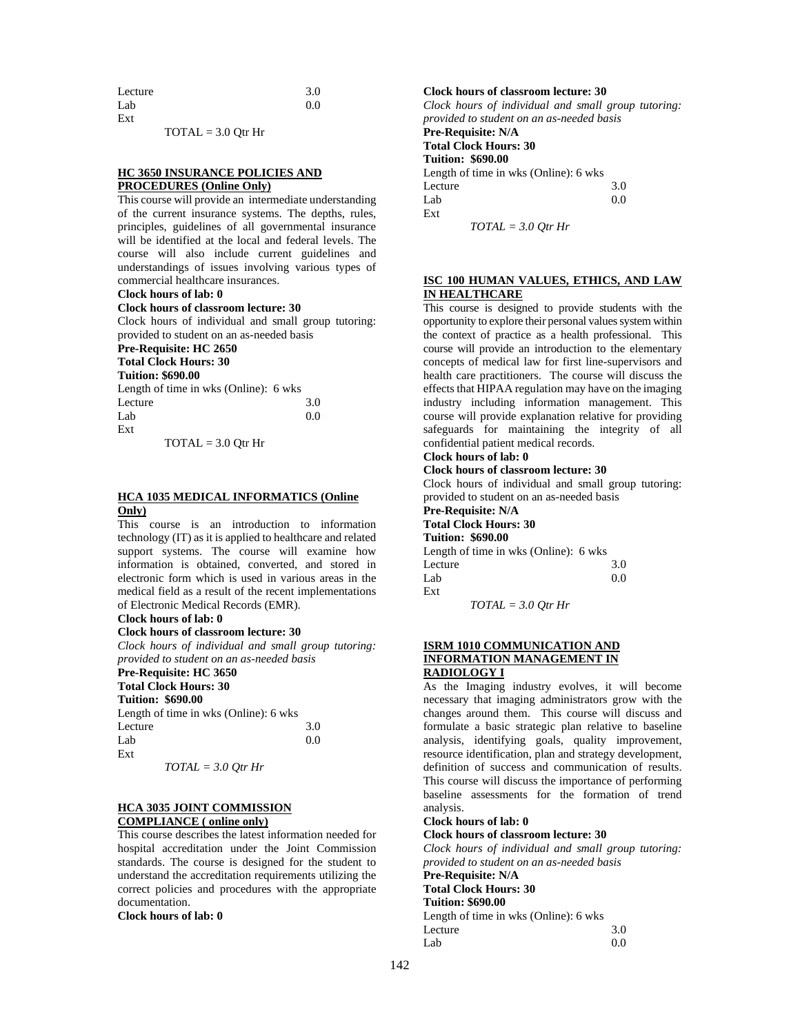| Lecture | 3.0 |
|---------|-----|
| Lab     | 0.0 |
| Ext     |     |

 $TOTAL = 3.0$  Otr Hr

#### **HC 3650 INSURANCE POLICIES AND PROCEDURES (Online Only)**

This course will provide an intermediate understanding of the current insurance systems. The depths, rules, principles, guidelines of all governmental insurance will be identified at the local and federal levels. The course will also include current guidelines and understandings of issues involving various types of commercial healthcare insurances.

#### **Clock hours of lab: 0**

#### **Clock hours of classroom lecture: 30**

Clock hours of individual and small group tutoring: provided to student on an as-needed basis

#### **Pre-Requisite: HC 2650**

**Total Clock Hours: 30**

# **Tuition: \$690.00**

| Length of time in wks (Online): 6 wks |     |
|---------------------------------------|-----|
| Lecture                               | 3.0 |
| Lab                                   | 0.0 |
| Ext                                   |     |
|                                       |     |

 $TOTAL = 3.0$  Otr Hr

#### **HCA 1035 MEDICAL INFORMATICS (Online Only)**

This course is an introduction to information technology (IT) as it is applied to healthcare and related support systems. The course will examine how information is obtained, converted, and stored in electronic form which is used in various areas in the medical field as a result of the recent implementations of Electronic Medical Records (EMR).

### **Clock hours of lab: 0**

## **Clock hours of classroom lecture: 30**

*Clock hours of individual and small group tutoring: provided to student on an as-needed basis*

# **Pre-Requisite: HC 3650**

**Total Clock Hours: 30**

# **Tuition: \$690.00**

| Length of time in wks (Online): 6 wks |     |
|---------------------------------------|-----|
| Lecture                               | 3.0 |
| Lab                                   | 0.0 |
| Ext                                   |     |

$$
TOTAL = 3.0 Qtr Hr
$$

#### **HCA 3035 JOINT COMMISSION COMPLIANCE ( online only)**

This course describes the latest information needed for hospital accreditation under the Joint Commission standards. The course is designed for the student to understand the accreditation requirements utilizing the correct policies and procedures with the appropriate documentation.

# **Clock hours of lab: 0**

## **Clock hours of classroom lecture: 30**

*Clock hours of individual and small group tutoring: provided to student on an as-needed basis* **Pre-Requisite: N/A Total Clock Hours: 30**

**Tuition: \$690.00** Length of time in wks (Online): 6 wks

Lecture 3.0  $Lab$  0.0 Ext

*TOTAL = 3.0 Qtr Hr*

## **ISC 100 HUMAN VALUES, ETHICS, AND LAW IN HEALTHCARE**

This course is designed to provide students with the opportunity to explore their personal values system within the context of practice as a health professional. This course will provide an introduction to the elementary concepts of medical law for first line-supervisors and health care practitioners. The course will discuss the effects that HIPAA regulation may have on the imaging industry including information management. This course will provide explanation relative for providing safeguards for maintaining the integrity of all confidential patient medical records.

# **Clock hours of lab: 0**

# **Clock hours of classroom lecture: 30**

Clock hours of individual and small group tutoring: provided to student on an as-needed basis

#### **Pre-Requisite: N/A Total Clock Hours: 30**

#### **Tuition: \$690.00**

Length of time in wks (Online): 6 wks Lecture 3.0  $Lab$  0.0 Ext *TOTAL = 3.0 Qtr Hr*

#### **ISRM 1010 COMMUNICATION AND INFORMATION MANAGEMENT IN RADIOLOGY I**

As the Imaging industry evolves, it will become necessary that imaging administrators grow with the changes around them. This course will discuss and formulate a basic strategic plan relative to baseline analysis, identifying goals, quality improvement, resource identification, plan and strategy development, definition of success and communication of results. This course will discuss the importance of performing baseline assessments for the formation of trend analysis.

## **Clock hours of lab: 0**

## **Clock hours of classroom lecture: 30**

*Clock hours of individual and small group tutoring: provided to student on an as-needed basis*

#### **Pre-Requisite: N/A**

**Total Clock Hours: 30**

#### **Tuition: \$690.00**

Length of time in wks (Online): 6 wks Lecture 3.0  $Lab$  0.0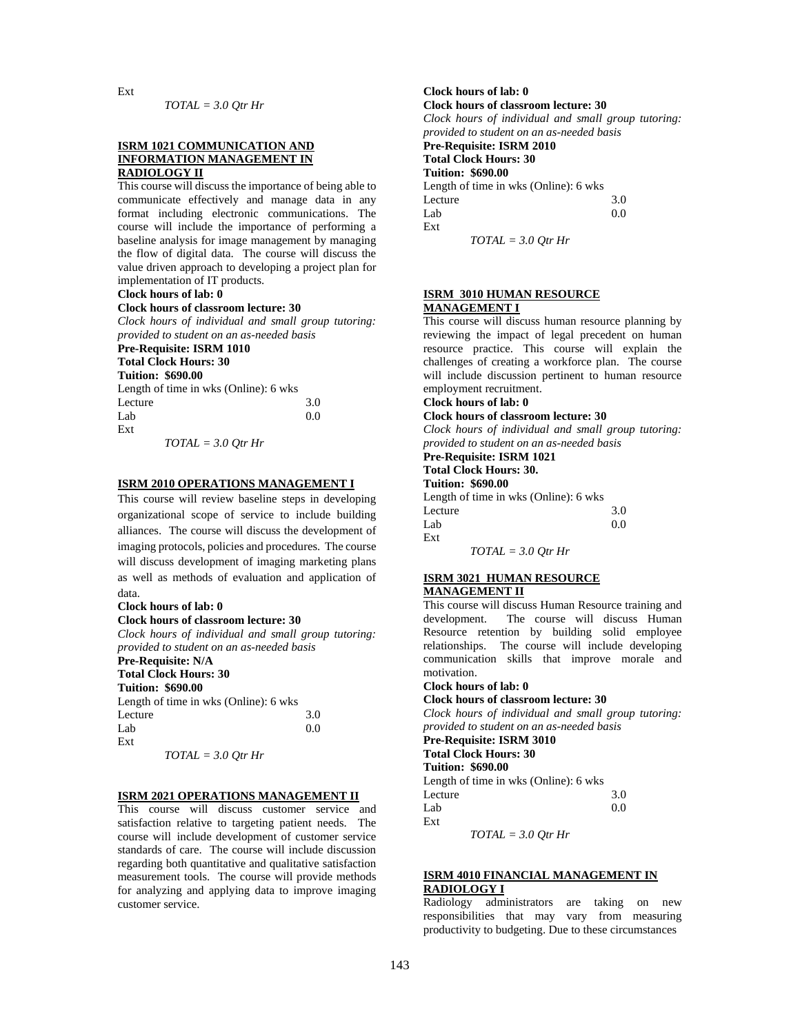Ext

$$
TOTAL = 3.0 Qtr Hr
$$

#### **ISRM 1021 COMMUNICATION AND INFORMATION MANAGEMENT IN RADIOLOGY II**

This course will discuss the importance of being able to communicate effectively and manage data in any format including electronic communications. The course will include the importance of performing a baseline analysis for image management by managing the flow of digital data. The course will discuss the value driven approach to developing a project plan for implementation of IT products.

## **Clock hours of lab: 0**

## **Clock hours of classroom lecture: 30**

*Clock hours of individual and small group tutoring: provided to student on an as-needed basis* **Pre-Requisite: ISRM 1010 Total Clock Hours: 30 Tuition: \$690.00**

| Length of time in wks (Online): 6 wks |     |
|---------------------------------------|-----|
| Lecture                               | 3.0 |
| Lab                                   | 0.0 |
| Ext                                   |     |
| $T\Omega TAT = 2.0.0H$                |     |

$$
TOTAL = 3.0 Qtr Hr
$$

## **ISRM 2010 OPERATIONS MANAGEMENT I**

This course will review baseline steps in developing organizational scope of service to include building alliances. The course will discuss the development of imaging protocols, policies and procedures. The course will discuss development of imaging marketing plans as well as methods of evaluation and application of data.

#### **Clock hours of lab: 0**

**Clock hours of classroom lecture: 30** *Clock hours of individual and small group tutoring: provided to student on an as-needed basis*

# **Pre-Requisite: N/A**

#### **Total Clock Hours: 30 Tuition: \$690.00**

| random, pozoivo                       |     |
|---------------------------------------|-----|
| Length of time in wks (Online): 6 wks |     |
| Lecture                               | 3.0 |
| Lab                                   | 0.0 |
| Ext                                   |     |

*TOTAL = 3.0 Qtr Hr*

#### **ISRM 2021 OPERATIONS MANAGEMENT II**

This course will discuss customer service and satisfaction relative to targeting patient needs. The course will include development of customer service standards of care. The course will include discussion regarding both quantitative and qualitative satisfaction measurement tools. The course will provide methods for analyzing and applying data to improve imaging customer service.

## **Clock hours of lab: 0 Clock hours of classroom lecture: 30** *Clock hours of individual and small group tutoring: provided to student on an as-needed basis* **Pre-Requisite: ISRM 2010**

#### **Total Clock Hours: 30 Tuition: \$690.00**

Length of time in wks (Online): 6 wks Lecture 3.0  $Lab$  0.0 Ext

*TOTAL = 3.0 Qtr Hr*

#### **ISRM 3010 HUMAN RESOURCE MANAGEMENT I**

This course will discuss human resource planning by reviewing the impact of legal precedent on human resource practice. This course will explain the challenges of creating a workforce plan. The course will include discussion pertinent to human resource employment recruitment.

## **Clock hours of lab: 0**

#### **Clock hours of classroom lecture: 30**

*Clock hours of individual and small group tutoring: provided to student on an as-needed basis*

# **Pre-Requisite: ISRM 1021**

#### **Total Clock Hours: 30. Tuition: \$690.00**

Length of time in wks (Online): 6 wks Lecture 3.0

| Lab | 0.0 |
|-----|-----|
| Ext |     |

*TOTAL = 3.0 Qtr Hr*

#### **ISRM 3021 HUMAN RESOURCE MANAGEMENT II**

This course will discuss Human Resource training and development. The course will discuss Human Resource retention by building solid employee relationships. The course will include developing communication skills that improve morale and motivation.

# **Clock hours of lab: 0**

**Clock hours of classroom lecture: 30** *Clock hours of individual and small group tutoring: provided to student on an as-needed basis*

**Pre-Requisite: ISRM 3010 Total Clock Hours: 30 Tuition: \$690.00** Length of time in wks (Online): 6 wks

| Lecture | 3.0 |
|---------|-----|
| Lab     | 0.0 |
| Ext     |     |

$$
TOTAL = 3.0 Qtr Hr
$$

## **ISRM 4010 FINANCIAL MANAGEMENT IN RADIOLOGY I**

Radiology administrators are taking on new responsibilities that may vary from measuring productivity to budgeting. Due to these circumstances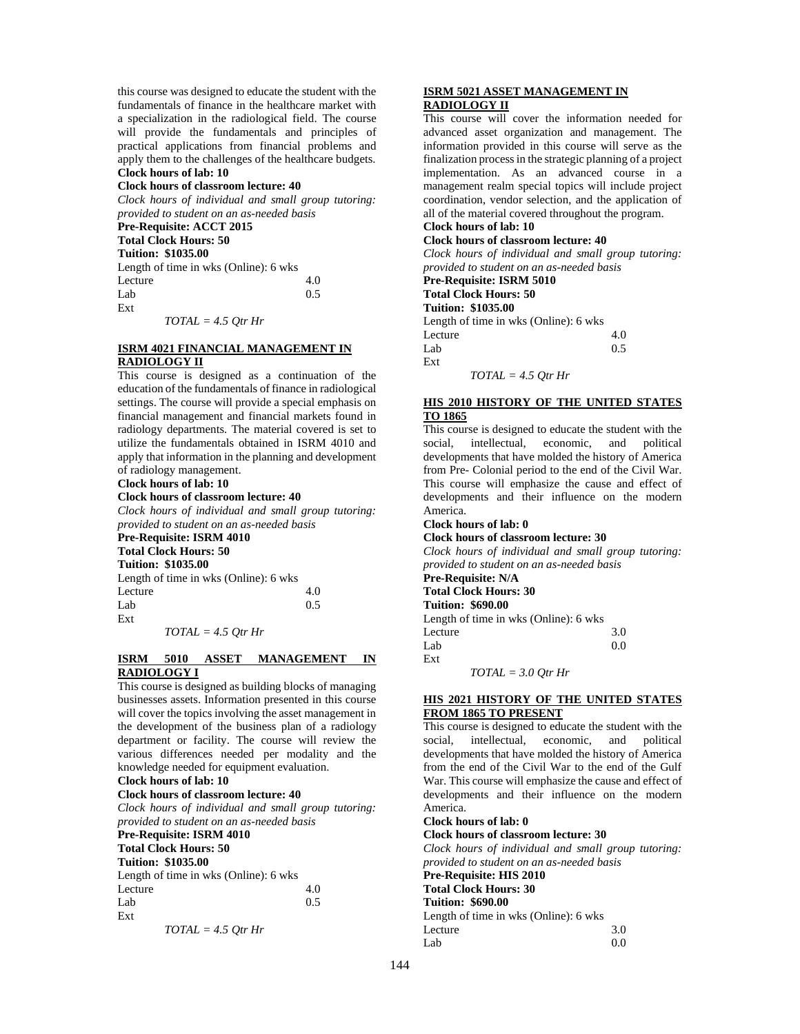this course was designed to educate the student with the fundamentals of finance in the healthcare market with a specialization in the radiological field. The course will provide the fundamentals and principles of practical applications from financial problems and apply them to the challenges of the healthcare budgets. **Clock hours of lab: 10** 

#### **Clock hours of classroom lecture: 40**

*Clock hours of individual and small group tutoring: provided to student on an as-needed basis*

## **Pre-Requisite: ACCT 2015**

**Total Clock Hours: 50 Tuition: \$1035.00**

| Length of time in wks (Online): 6 wks |     |
|---------------------------------------|-----|
| Lecture                               | 4.0 |
| Lab                                   | 0.5 |
| Ext                                   |     |

*TOTAL = 4.5 Qtr Hr*

#### **ISRM 4021 FINANCIAL MANAGEMENT IN RADIOLOGY II**

This course is designed as a continuation of the education of the fundamentals of finance in radiological settings. The course will provide a special emphasis on financial management and financial markets found in radiology departments. The material covered is set to utilize the fundamentals obtained in ISRM 4010 and apply that information in the planning and development of radiology management.

#### **Clock hours of lab: 10**

#### **Clock hours of classroom lecture: 40**

*Clock hours of individual and small group tutoring: provided to student on an as-needed basis*

#### **Pre-Requisite: ISRM 4010 Total Clock Hours: 50**

| Tulai Ciuck Huuls, Ju     |  |
|---------------------------|--|
| <b>Tuition: \$1035.00</b> |  |

| Tunnan, proposo                       |     |
|---------------------------------------|-----|
| Length of time in wks (Online): 6 wks |     |
| Lecture                               | 4.0 |
| Lab                                   | 0.5 |
| Ext                                   |     |

*TOTAL = 4.5 Qtr Hr*

#### **ISRM 5010 ASSET MANAGEMENT IN RADIOLOGY I**

This course is designed as building blocks of managing businesses assets. Information presented in this course will cover the topics involving the asset management in the development of the business plan of a radiology department or facility. The course will review the various differences needed per modality and the knowledge needed for equipment evaluation.

# **Clock hours of lab: 10**

**Clock hours of classroom lecture: 40**

*Clock hours of individual and small group tutoring: provided to student on an as-needed basis*

## **Pre-Requisite: ISRM 4010**

**Total Clock Hours: 50**

## **Tuition: \$1035.00**

| Length of time in wks (Online): 6 wks |     |
|---------------------------------------|-----|
| Lecture                               | 4.0 |
| Lab                                   | 0.5 |
| Ext                                   |     |

$$
TOTAL = 4.5 Qtr Hr
$$

#### **ISRM 5021 ASSET MANAGEMENT IN RADIOLOGY II**

This course will cover the information needed for advanced asset organization and management. The information provided in this course will serve as the finalization process in the strategic planning of a project implementation. As an advanced course in a management realm special topics will include project coordination, vendor selection, and the application of all of the material covered throughout the program.

#### **Clock hours of lab: 10 Clock hours of classroom lecture: 40**

*Clock hours of individual and small group tutoring: provided to student on an as-needed basis*

# **Pre-Requisite: ISRM 5010**

**Total Clock Hours: 50 Tuition: \$1035.00**

Length of time in wks (Online): 6 wks Lecture 4.0  $Lab$  0.5 Ext *TOTAL = 4.5 Qtr Hr*

#### **HIS 2010 HISTORY OF THE UNITED STATES TO 1865**

This course is designed to educate the student with the social, intellectual, economic, and political developments that have molded the history of America from Pre- Colonial period to the end of the Civil War. This course will emphasize the cause and effect of developments and their influence on the modern America.

## **Clock hours of lab: 0**

**Clock hours of classroom lecture: 30**

#### *Clock hours of individual and small group tutoring: provided to student on an as-needed basis*

**Pre-Requisite: N/A**

#### **Total Clock Hours: 30 Tuition: \$690.00**

Length of time in wks (Online): 6 wks Lecture 3.0<br>Lab 0.0  $Lab$  0.0 Ext

*TOTAL = 3.0 Qtr Hr*

### **HIS 2021 HISTORY OF THE UNITED STATES FROM 1865 TO PRESENT**

This course is designed to educate the student with the social, intellectual, economic, and political developments that have molded the history of America from the end of the Civil War to the end of the Gulf War. This course will emphasize the cause and effect of developments and their influence on the modern America.

**Clock hours of lab: 0** 

**Clock hours of classroom lecture: 30**

*Clock hours of individual and small group tutoring: provided to student on an as-needed basis* **Pre-Requisite: HIS 2010**

**Total Clock Hours: 30**

| TUMI UNUN HUMB. JV                    |     |
|---------------------------------------|-----|
| <b>Tuition: \$690.00</b>              |     |
| Length of time in wks (Online): 6 wks |     |
| Lecture                               | 3.0 |

 $Lab$  0.0